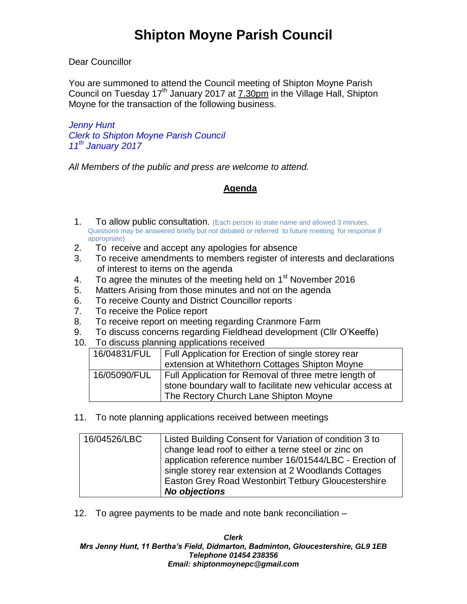Dear Councillor

You are summoned to attend the Council meeting of Shipton Moyne Parish Council on Tuesday 17<sup>th</sup> January 2017 at 7.30pm in the Village Hall, Shipton Moyne for the transaction of the following business.

*Jenny Hunt Clerk to Shipton Moyne Parish Council 11th January 2017*

*All Members of the public and press are welcome to attend.*

## **Agenda**

- 1. To allow public consultation. (Each person to state name and allowed 3 minutes. Questions may be answered briefly but not debated or referred to future meeting for response if appropriate)
- 2. To receive and accept any apologies for absence
- 3. To receive amendments to members register of interests and declarations of interest to items on the agenda
- 4. To agree the minutes of the meeting held on  $1<sup>st</sup>$  November 2016
- 5. Matters Arising from those minutes and not on the agenda
- 6. To receive County and District Councillor reports
- 7. To receive the Police report
- 8. To receive report on meeting regarding Cranmore Farm
- 9. To discuss concerns regarding Fieldhead development (Cllr O'Keeffe)
- 10. To discuss planning applications received

| 16/04831/FUL | Full Application for Erection of single storey rear       |  |
|--------------|-----------------------------------------------------------|--|
|              | extension at Whitethorn Cottages Shipton Moyne            |  |
| 16/05090/FUL | Full Application for Removal of three metre length of     |  |
|              | stone boundary wall to facilitate new vehicular access at |  |
|              | The Rectory Church Lane Shipton Moyne                     |  |

11. To note planning applications received between meetings

| 16/04526/LBC | Listed Building Consent for Variation of condition 3 to |  |
|--------------|---------------------------------------------------------|--|
|              | change lead roof to either a terne steel or zinc on     |  |
|              | application reference number 16/01544/LBC - Erection of |  |
|              | single storey rear extension at 2 Woodlands Cottages    |  |
|              | Easton Grey Road Westonbirt Tetbury Gloucestershire     |  |
|              | <b>No objections</b>                                    |  |

12. To agree payments to be made and note bank reconciliation –

*Clerk Mrs Jenny Hunt, 11 Bertha's Field, Didmarton, Badminton, Gloucestershire, GL9 1EB Telephone 01454 238356 Email: shiptonmoynepc@gmail.com*